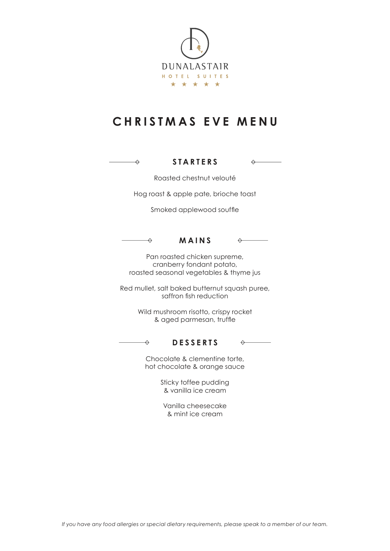

## **CHRISTMAS EVE MENU**

#### **STARTERS**

 $\leftrightarrow$ 

Roasted chestnut velouté

Hog roast & apple pate, brioche toast

Smoked applewood souffle



Pan roasted chicken supreme, cranberry fondant potato, roasted seasonal vegetables & thyme jus

Red mullet, salt baked butternut squash puree, saffron fish reduction

> Wild mushroom risotto, crispy rocket & aged parmesan, truffle

#### **DESSERTS**

 $\leftrightarrow$ 

 $\leftrightarrow$ 

Chocolate & clementine torte, hot chocolate & orange sauce

> Sticky toffee pudding & vanilla ice cream

Vanilla cheesecake & mint ice cream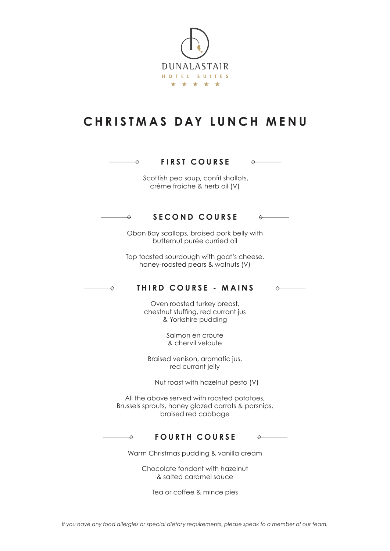

### **CHRISTMAS DAY LUNCH MENU**

#### **FIRST COURSE**  $\leftrightarrow$  $\Leftrightarrow$

 Scottish pea soup, confit shallots, crème fraiche & herb oil (V)

### **SECOND COURSE**

 $\leftrightarrow$ 

 $\leftrightarrow$ 

 $\Diamond$ 

Oban Bay scallops, braised pork belly with butternut purée curried oil

Top toasted sourdough with goat's cheese, honey-roasted pears & walnuts (V)

#### **THIRD COURSE - MAINS**

Oven roasted turkey breast, chestnut stuffing, red currant jus & Yorkshire pudding

> Salmon en croute & chervil veloute

Braised venison, aromatic jus, red currant jelly

Nut roast with hazelnut pesto (V)

All the above served with roasted potatoes, Brussels sprouts, honey glazed carrots & parsnips, braised red cabbage

 $\overline{\phantom{a}}$ 

 $\leftrightarrow$ 

 $\overline{\phantom{a}}$ 

#### **FOURTH COURSE**

Warm Christmas pudding & vanilla cream

Chocolate fondant with hazelnut & salted caramel sauce

Tea or coffee & mince pies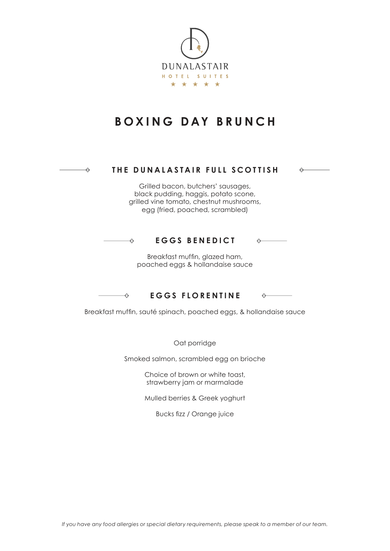

### **BOXING DAY BRUNCH**

### **THE DUNALASTAIR FULL SCOTTISH**

 $\leftrightarrow$ 

 $\leftrightarrow$ 

 $\overline{\mathbf{z}}$ 

Grilled bacon, butchers' sausages, black pudding, haggis, potato scone, grilled vine tomato, chestnut mushrooms, egg (fried, poached, scrambled)



Breakfast muffin, glazed ham, poached eggs & hollandaise sauce

**EGGS FLORENTINE**  $\rightarrow$ 

Breakfast muffin, sauté spinach, poached eggs, & hollandaise sauce

Oat porridge

Smoked salmon, scrambled egg on brioche

Choice of brown or white toast, strawberry jam or marmalade

Mulled berries & Greek yoghurt

Bucks fizz / Orange juice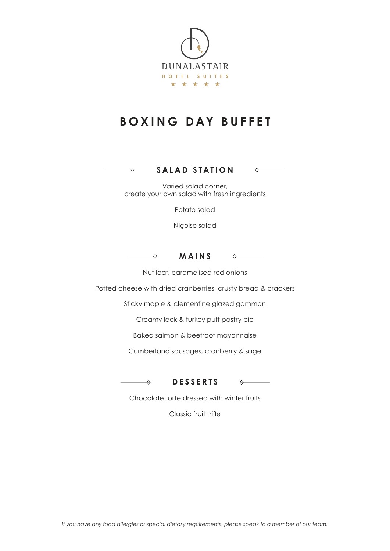

### **BOXING DAY BUFFET**

### **SALAD STATION**

Varied salad corner, create your own salad with fresh ingredients

Potato salad

Niçoise salad



 $\leftrightarrow$ 

**MAINS**



 $\leftrightarrow$ 

 $\Leftrightarrow$ 

Nut loaf, caramelised red onions

Potted cheese with dried cranberries, crusty bread & crackers

Sticky maple & clementine glazed gammon

Creamy leek & turkey puff pastry pie

Baked salmon & beetroot mayonnaise

Cumberland sausages, cranberry & sage

 $\overline{\Leftrightarrow}$ 

**DESSERTS**

Chocolate torte dressed with winter fruits

Classic fruit trifle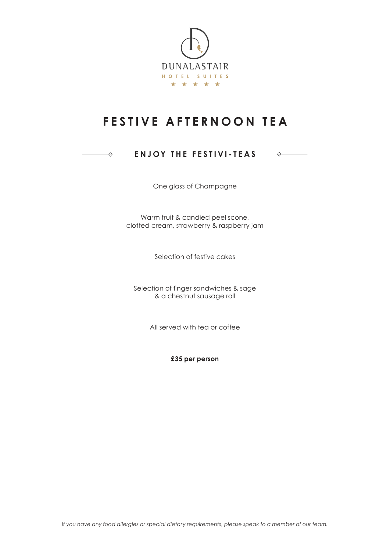

### **FESTIVE AFTERNOON TEA**

#### **ENJOY THE FESTIVI-TEAS**  $\rightarrow$

One glass of Champagne

 $\begin{picture}(20,20) \put(0,0){\vector(1,0){10}} \put(15,0){\vector(1,0){10}} \put(15,0){\vector(1,0){10}} \put(15,0){\vector(1,0){10}} \put(15,0){\vector(1,0){10}} \put(15,0){\vector(1,0){10}} \put(15,0){\vector(1,0){10}} \put(15,0){\vector(1,0){10}} \put(15,0){\vector(1,0){10}} \put(15,0){\vector(1,0){10}} \put(15,0){\vector(1,0){10}} \put(15,0){\vector(1$ 

Warm fruit & candied peel scone, clotted cream, strawberry & raspberry jam

Selection of festive cakes

Selection of finger sandwiches & sage & a chestnut sausage roll

All served with tea or coffee

**£35 per person**

*If you have any food allergies or special dietary requirements, please speak to a member of our team.*